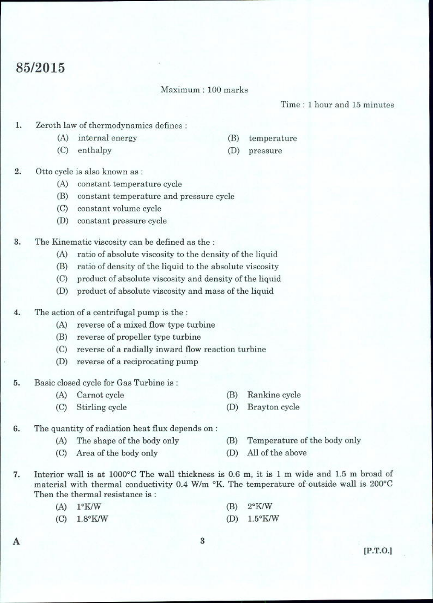## 85/2015

## Maximum: 100 marks

Time: 1 hour and 15 minutes

- Zeroth law of thermodynamics defines : 1.
	- (A) internal energy
	- (C) enthalpy
- $(B)$ temperature
- $(D)$ pressure

- $2.$ Otto cycle is also known as :
	- (A) constant temperature cycle
	- (B) constant temperature and pressure cycle
	- (C) constant volume cycle
	- (D) constant pressure cycle
- 3. The Kinematic viscosity can be defined as the :
	- (A) ratio of absolute viscosity to the density of the liquid
	- (B) ratio of density of the liquid to the absolute viscosity
	- (C) product of absolute viscosity and density of the liquid
	- product of absolute viscosity and mass of the liquid (D)
- $4.$ The action of a centrifugal pump is the :
	- (A) reverse of a mixed flow type turbine
	- (B) reverse of propeller type turbine
	- (C) reverse of a radially inward flow reaction turbine
	- (D) reverse of a reciprocating pump
- Basic closed cycle for Gas Turbine is: 5.
	- (A) Carnot cycle (B) Rankine cycle
	- Stirling cycle  $(D)$  $(C)$
- 6. The quantity of radiation heat flux depends on:
	- (A) The shape of the body only
- (B) Temperature of the body only
- (C) Area of the body only
- 7. Interior wall is at 1000°C The wall thickness is 0.6 m, it is 1 m wide and 1.5 m broad of material with thermal conductivity 0.4 W/m °K. The temperature of outside wall is 200°C Then the thermal resistance is:
	- $(A)$  1°K/W  $2^{\circ}$ K/W (B)  $1.5^{\circ}$ K/W
	- $1.8^{\circ}$ K/W  $(D)$  $(C)$

 $[P.T.O.]$ 

A

- Brayton cycle
- 
- 
- 
- 

(D) All of the above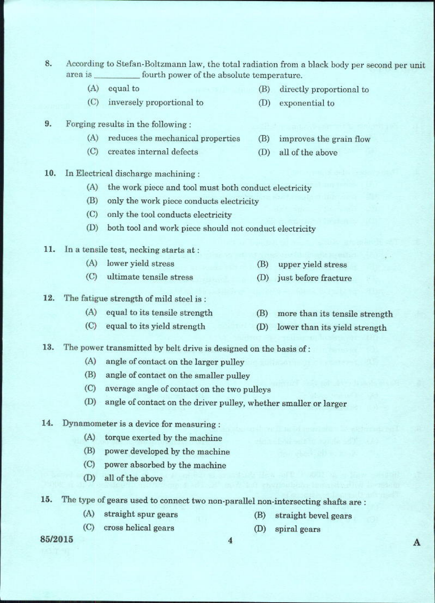- 8. According to Stefan-Boltzmann law, the total radiation from a black body per second per unit area is fourth power of the absolute temperature.
	- $(A)$ equal to
	- (C) inversely proportional to
- 9. Forging results in the following:
	- reduces the mechanical properties  $(A)$
	- $(C)$ creates internal defects  $(D)$
- 10. In Electrical discharge machining:
	- (A) the work piece and tool must both conduct electricity
	- (B) only the work piece conducts electricity
	- $(C)$ only the tool conducts electricity
	- both tool and work piece should not conduct electricity  $(D)$
- 11. In a tensile test, necking starts at:
	- (A) lower yield stress
	- (C) ultimate tensile stress

## 12. The fatigue strength of mild steel is:

- (A) equal to its tensile strength
- $(C)$ equal to its yield strength
- 13. The power transmitted by belt drive is designed on the basis of:
	- $(A)$ angle of contact on the larger pulley
	- $(B)$ angle of contact on the smaller pulley
	- average angle of contact on the two pulleys  $(C)$
	- angle of contact on the driver pulley, whether smaller or larger  $(D)$
- 14. Dynamometer is a device for measuring :
	- $(A)$ torque exerted by the machine
	- (B) power developed by the machine
	- $(C)$ power absorbed by the machine
	- (D) all of the above
- $15.$ The type of gears used to connect two non-parallel non-intersecting shafts are :

 $\overline{4}$ 

(A) straight spur gears

cross helical gears

- (B) straight bevel gears
- $(D)$ spiral gears

85/2015

 $(C)$ 

- 
- (B) more than its tensile strength
- (D) lower than its yield strength
- upper yield stress
- (B)
- (D) just before fracture

- 
- directly proportional to (B)

all of the above

improves the grain flow

(D) exponential to

(B)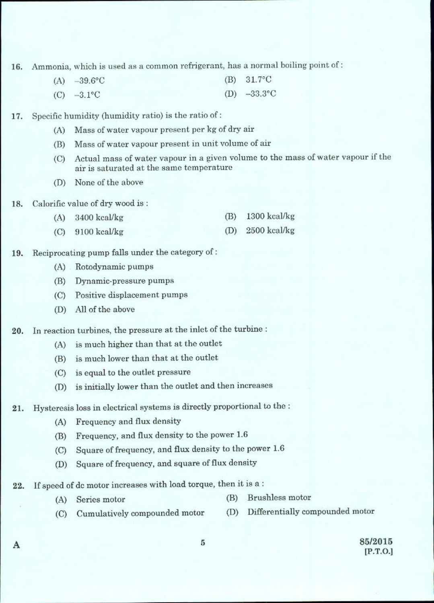Ammonia, which is used as a common refrigerant, has a normal boiling point of: 16.

- $(A) -39.6$ °C  $(B) 31.7$ °C (D)  $-33.3^{\circ}$ C  $(C) -3.1$ °C
- Specific humidity (humidity ratio) is the ratio of: 17.
	- Mass of water vapour present per kg of dry air  $(A)$
	- Mass of water vapour present in unit volume of air (B)
	- Actual mass of water vapour in a given volume to the mass of water vapour if the  $(C)$ air is saturated at the same temperature
	- None of the above (D)
- Calorific value of dry wood is: 18.
	- $(B)$  1300 kcal/kg  $(A)$  3400 kcal/kg
	- $(D)$  2500 kcal/kg  $(C)$  9100 kcal/kg
- Reciprocating pump falls under the category of: 19.
	- (A) Rotodynamic pumps
	- (B) Dynamic-pressure pumps
	- (C) Positive displacement pumps
	- (D) All of the above

In reaction turbines, the pressure at the inlet of the turbine : 20.

- (A) is much higher than that at the outlet
- (B) is much lower than that at the outlet
- (C) is equal to the outlet pressure
- is initially lower than the outlet and then increases  $(D)$
- Hysteresis loss in electrical systems is directly proportional to the : 21.
	- Frequency and flux density  $(A)$
	- Frequency, and flux density to the power 1.6 (B)
	- Square of frequency, and flux density to the power 1.6  $(C)$
	- Square of frequency, and square of flux density  $(D)$
- If speed of dc motor increases with load torque, then it is a: 22.
	- (B) Brushless motor (A) Series motor
	- (D) Differentially compounded motor Cumulatively compounded motor  $(C)$

A

85/2015  $[P.T.O.]$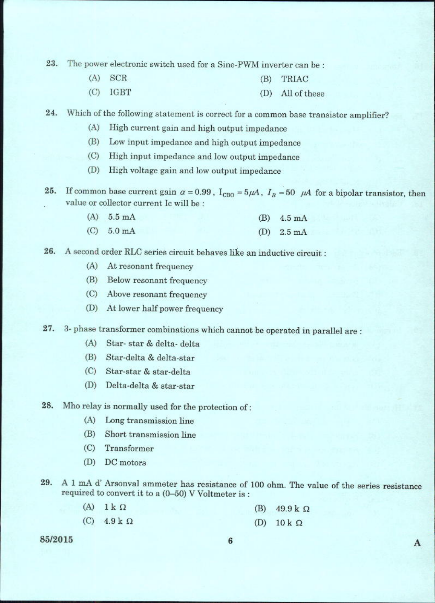23. The power electronic switch used for a Sine-PWM inverter can be :

- $(A)$ **SCR** TRIAC  $(B)$
- $(C)$ IGBT (D) All of these

24. Which of the following statement is correct for a common base transistor amplifier?

- $(A)$ High current gain and high output impedance
- $(B)$ Low input impedance and high output impedance
- (C) High input impedance and low output impedance
- (D) High voltage gain and low output impedance
- If common base current gain  $\alpha = 0.99$ ,  $I_{CBO} = 5\mu A$ ,  $I_B = 50$   $\mu A$  for a bipolar transistor, then 25. value or collector current Ic will be :

|       | $(A) 5.5 \text{ mA}$ | $(B)$ 4.5 mA                        |
|-------|----------------------|-------------------------------------|
| 25.33 |                      | the property of the property of the |

- $(C) 5.0 \text{ mA}$ (D)  $2.5 \text{ mA}$
- A second order RLC series circuit behaves like an inductive circuit : 26.
	- (A) At resonant frequency
	- (B) Below resonant frequency
	- (C) Above resonant frequency
	- (D) At lower half power frequency
- 27. 3- phase transformer combinations which cannot be operated in parallel are:
	- $(A)$ Star-star & delta-delta
	- (B) Star-delta & delta-star
	- (C) Star-star & star-delta
	- (D) Delta-delta & star-star
- Mho relay is normally used for the protection of: 28.
	- (A) Long transmission line
	- (B) Short transmission line
	- $(C)$ Transformer
	- $(D)$ DC motors
- 29. A 1 mA d' Arsonval ammeter has resistance of 100 ohm. The value of the series resistance required to convert it to a (0-50) V Voltmeter is :
	- $(A)$  $1 \text{ k } \Omega$ (B)  $49.9 k$   $\Omega$  $(C)$  $4.9 k$ (D)  $10 k \Omega$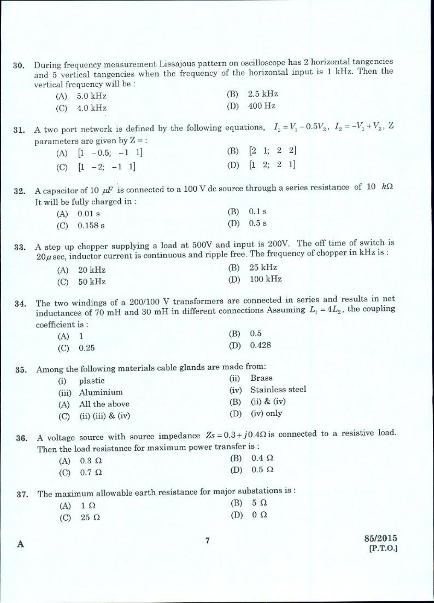30. During frequency measurement Lissajous pattern on oscilloscope has 2 horizontal tangencies and 5 vertical tangencies when the frequency of the horizontal input is 1 kHz. Then the vertical frequency will be :

| (A) $5.0 \text{ kHz}$ | $(B)$ 2.5 kHz |
|-----------------------|---------------|
| (C) 4.0 kHz           | $(D)$ 400 Hz  |

31. A two port network is defined by the following equations,  $I_1 = V_1 - 0.5V_2$ ,  $I_2 = -V_1 + V_2$ , Z parameters are given by  $Z =$ :

|  | (A) $[1 -0.5; -1 1]$ | (B) $[2 \ 1; \ 2 \ 2]$ |  |  |
|--|----------------------|------------------------|--|--|
|  | (C) $[1 -2; -1 1]$   | (D) $[1 \ 2; \ 2 \ 1]$ |  |  |

A capacitor of 10  $\mu$ F is connected to a 100 V dc source through a series resistance of 10  $k\Omega$ 32. It will be fully charged in:

| A) 0.01 s    | $(B)$ 0.1 s |
|--------------|-------------|
| $C)$ 0.158 s | (D) $0.5 s$ |

A step up chopper supplying a load at 500V and input is 200V. The off time of switch is 33.  $20\mu$  sec, inductor current is continuous and ripple free. The frequency of chopper in kHz is:

| $(A)$ 20 kHz | $(B)$ 25 kHz          |
|--------------|-----------------------|
| $(C)$ 50 kHz | (D) $100 \text{ kHz}$ |

The two windings of a 200/100 V transformers are connected in series and results in net 34. inductances of 70 mH and 30 mH in different connections Assuming  $L_1 = 4L_2$ , the coupling coefficient is :

| $(A)$ 1 |            | $(B)$ 0.5 |             |
|---------|------------|-----------|-------------|
|         | $(C)$ 0.25 |           | $(D)$ 0.428 |

Among the following materials cable glands are made from: 35.

| (ii)                                                                   | Brass                |
|------------------------------------------------------------------------|----------------------|
|                                                                        | (iv) Stainless steel |
|                                                                        | (B) (ii) & (iv)      |
|                                                                        | $(D)$ (iv) only      |
| plastic<br>(iii) Aluminium<br>(A) All the above<br>$(ii)$ (iii) & (iv) |                      |

36. A voltage source with source impedance  $Z_s = 0.3 + j0.4\Omega$  is connected to a resistive load. Then the load resistance for maximum power transfer is :

| (A) $0.3 \Omega$   | (B) $0.4 \Omega$ |
|--------------------|------------------|
| $(C)$ 0.7 $\Omega$ | (D) $0.5 \Omega$ |

The maximum allowable earth resistance for major substations is : 37.

| (A) $1 \Omega$    | $(B)$ 5 $\Omega$ |
|-------------------|------------------|
| $(C)$ 25 $\Omega$ | (D) $0 \Omega$   |

A

85/2015  $[P.T.O.]$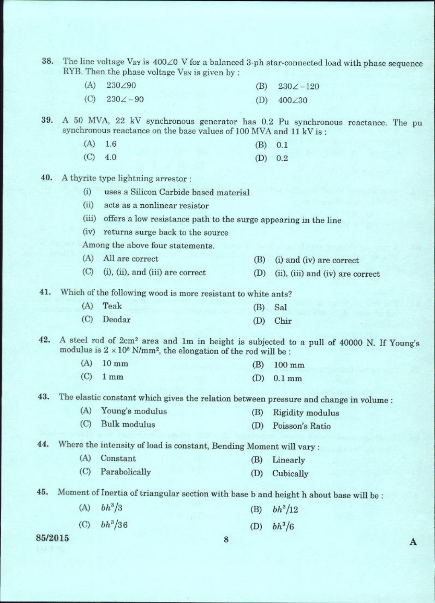- 38. The line voltage V<sub>RY</sub> is  $400\angle 0$  V for a balanced 3-ph star-connected load with phase sequence RYB. Then the phase voltage VBN is given by :
	- $(A)$ 230/90  $(B)$  $230\angle -120$  $(C)$  $230\angle -90$  $(D)$ 400∠30

A 50 MVA, 22 kV synchronous generator has 0.2 Pu synchronous reactance. The pu 39. synchronous reactance on the base values of 100 MVA and 11 kV is :

- $(A)$  1.6 (B)  $0.1$
- $(C) 4.0$  $(D) 0.2$
- 40. A thyrite type lightning arrestor:
	- uses a Silicon Carbide based material  $(i)$
	- $(ii)$ acts as a nonlinear resistor
	- (iii) offers a low resistance path to the surge appearing in the line
	- (iv) returns surge back to the source

Among the above four statements.

- (A) All are correct  $(B)$ (i) and (iv) are correct
- $(C)$  (i), (ii), and (iii) are correct  $(D)$ (ii), (iii) and (iv) are correct
- Which of the following wood is more resistant to white ants? 41.

| (A) Teak   | $(B)$ Sal  |
|------------|------------|
| (C) Deodar | $(D)$ Chir |

A steel rod of 2cm<sup>2</sup> area and 1m in height is subjected to a pull of 40000 N. If Young's 42. modulus is  $2 \times 10^5$  N/mm<sup>2</sup>, the elongation of the rod will be :

| $(A)$ 10 mm | $(B)$ 100 mm  |
|-------------|---------------|
| $(C)$ 1 mm  | $(D)$ $01$ mm |

The elastic constant which gives the relation between pressure and change in volume : 43.

- (A) Young's modulus  $(B)$ Rigidity modulus
- $(C)$ **Bulk** modulus (D) Poisson's Ratio

44. Where the intensity of load is constant, Bending Moment will vary :

- $(A)$ Constant (B) Linearly
- $(C)$ Parabolically (D) Cubically

45. Moment of Inertia of triangular section with base b and height h about base will be :

- (A)  $bh^3/3$ (B)  $bh^3/12$
- (C)  $bh^3/36$ (D)  $bh^3/6$

85/2015

A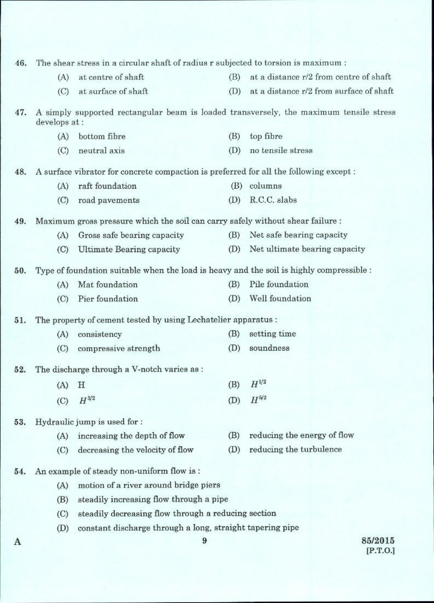| 46. |               | The shear stress in a circular shaft of radius r subjected to torsion is maximum :       |     |                                                                                        |
|-----|---------------|------------------------------------------------------------------------------------------|-----|----------------------------------------------------------------------------------------|
|     | (A)           | at centre of shaft                                                                       | (B) | at a distance r/2 from centre of shaft                                                 |
|     | (C)           | at surface of shaft                                                                      | (D) | at a distance r/2 from surface of shaft                                                |
| 47. | develops at : |                                                                                          |     | A simply supported rectangular beam is loaded transversely, the maximum tensile stress |
|     | (A)           | bottom fibre                                                                             | (B) | top fibre                                                                              |
|     | $\rm (C)$     | neutral axis                                                                             | (D) | no tensile stress                                                                      |
| 48. |               | A surface vibrator for concrete compaction is preferred for all the following except:    |     |                                                                                        |
|     | (A)           | raft foundation                                                                          | (B) | columns                                                                                |
|     | $\left($ C)   | road pavements                                                                           | (D) | R.C.C. slabs                                                                           |
| 49. |               | Maximum gross pressure which the soil can carry safely without shear failure :           |     |                                                                                        |
|     | (A)           | Gross safe bearing capacity                                                              | (B) | Net safe bearing capacity                                                              |
|     | $\left($ C)   | Ultimate Bearing capacity                                                                | (D) | Net ultimate bearing capacity                                                          |
| 50. |               | Type of foundation suitable when the load is heavy and the soil is highly compressible : |     |                                                                                        |
|     | (A)           | Mat foundation                                                                           | (B) | Pile foundation                                                                        |
|     | $\rm (C)$     | Pier foundation                                                                          | (D) | Well foundation                                                                        |
| 51. |               | The property of cement tested by using Lechatelier apparatus :                           |     |                                                                                        |
|     | (A)           | consistency                                                                              | (B) | setting time                                                                           |
|     | $\left($ C)   | compressive strength                                                                     | (D) | soundness                                                                              |
| 52. |               | The discharge through a V-notch varies as:                                               |     |                                                                                        |
|     | (A)           | Η                                                                                        | (B) | $H^{1/2}$                                                                              |
|     | (C)           | $H^{3/2}$                                                                                | (D) | $H^{5/2}$                                                                              |
| 53. |               | Hydraulic jump is used for :                                                             |     |                                                                                        |
|     | (A)           | increasing the depth of flow                                                             | (B) | reducing the energy of flow                                                            |
|     | (C)           | decreasing the velocity of flow                                                          | (D) | reducing the turbulence                                                                |
| 54. |               | An example of steady non-uniform flow is:                                                |     |                                                                                        |
|     | (A)           | motion of a river around bridge piers                                                    |     |                                                                                        |
|     | (B)           | steadily increasing flow through a pipe                                                  |     |                                                                                        |
|     | (C)           | steadily decreasing flow through a reducing section                                      |     |                                                                                        |
|     | (D)           | constant discharge through a long, straight tapering pipe                                |     |                                                                                        |
|     |               | 9                                                                                        |     | 85/2015                                                                                |

 $[P.T.O.]$